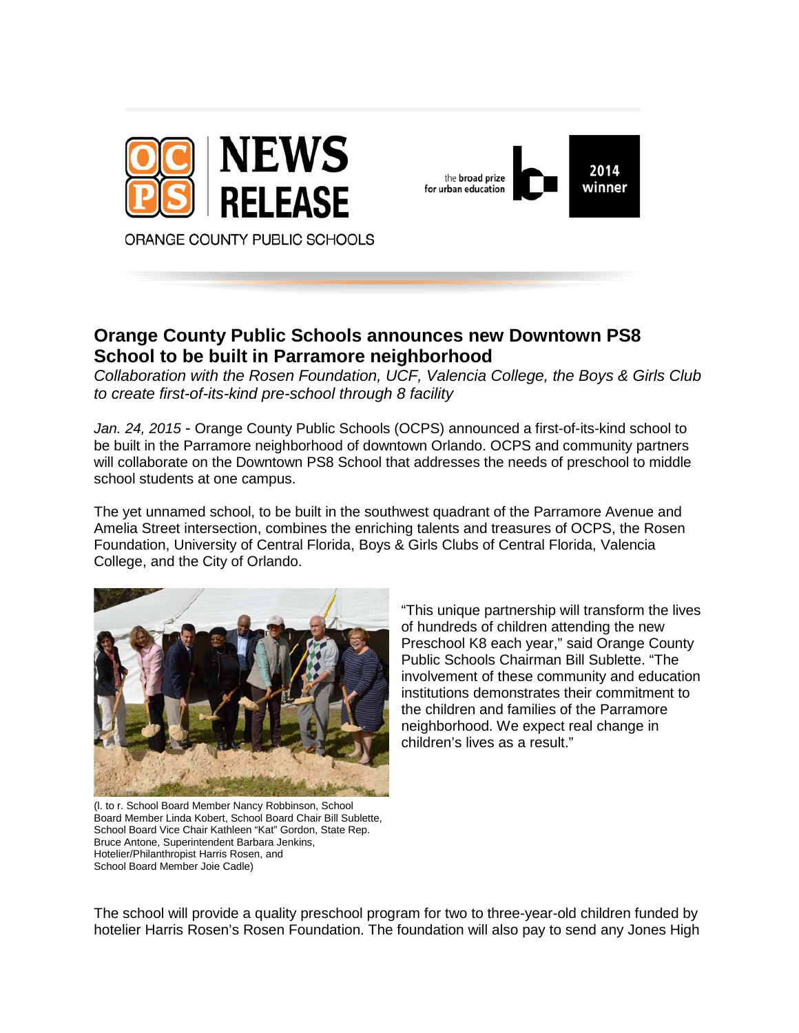



## **Orange County Public Schools announces new Downtown PS8 School to be built in Parramore neighborhood**

*Collaboration with the Rosen Foundation, UCF, Valencia College, the Boys & Girls Club to create first-of-its-kind pre-school through 8 facility* 

*Jan. 24, 2015* - Orange County Public Schools (OCPS) announced a first-of-its-kind school to be built in the Parramore neighborhood of downtown Orlando. OCPS and community partners will collaborate on the Downtown PS8 School that addresses the needs of preschool to middle school students at one campus.

The yet unnamed school, to be built in the southwest quadrant of the Parramore Avenue and Amelia Street intersection, combines the enriching talents and treasures of OCPS, the Rosen Foundation, University of Central Florida, Boys & Girls Clubs of Central Florida, Valencia College, and the City of Orlando.



"This unique partnership will transform the lives of hundreds of children attending the new Preschool K8 each year," said Orange County Public Schools Chairman Bill Sublette. "The involvement of these community and education institutions demonstrates their commitment to the children and families of the Parramore neighborhood. We expect real change in children's lives as a result."

(l. to r. School Board Member Nancy Robbinson, School Board Member Linda Kobert, School Board Chair Bill Sublette, School Board Vice Chair Kathleen "Kat" Gordon, State Rep. Bruce Antone, Superintendent Barbara Jenkins, Hotelier/Philanthropist Harris Rosen, and School Board Member Joie Cadle)

The school will provide a quality preschool program for two to three-year-old children funded by hotelier Harris Rosen's Rosen Foundation. The foundation will also pay to send any Jones High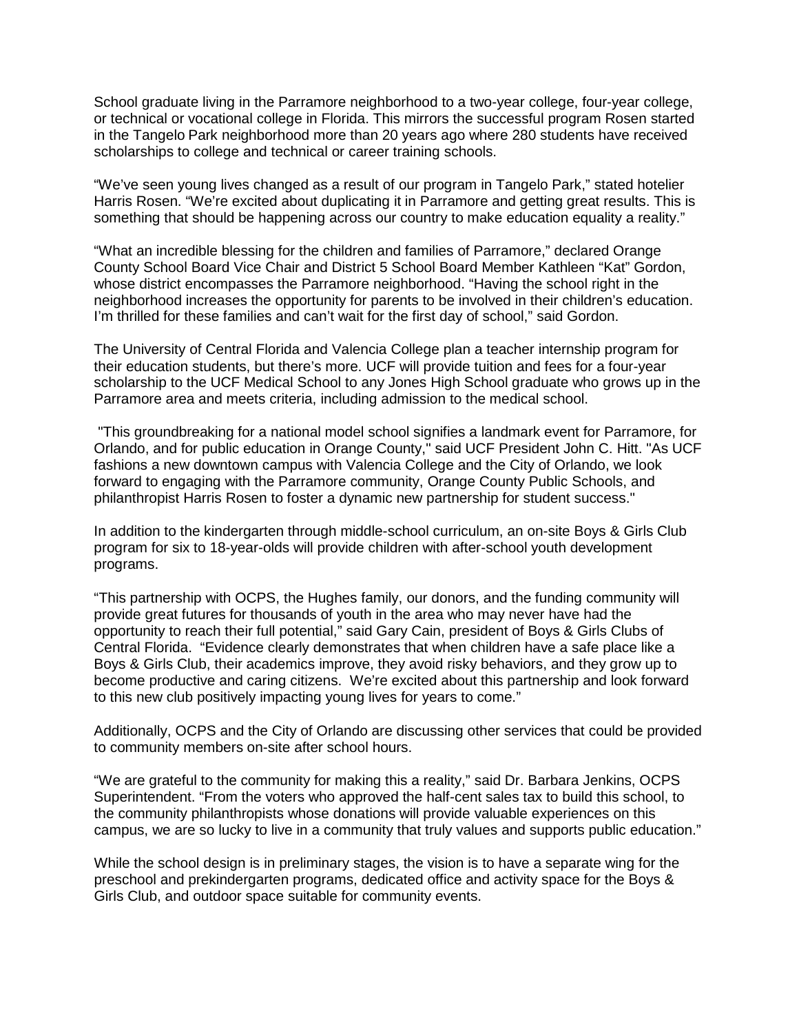School graduate living in the Parramore neighborhood to a two-year college, four-year college, or technical or vocational college in Florida. This mirrors the successful program Rosen started in the Tangelo Park neighborhood more than 20 years ago where 280 students have received scholarships to college and technical or career training schools.

"We've seen young lives changed as a result of our program in Tangelo Park," stated hotelier Harris Rosen. "We're excited about duplicating it in Parramore and getting great results. This is something that should be happening across our country to make education equality a reality."

"What an incredible blessing for the children and families of Parramore," declared Orange County School Board Vice Chair and District 5 School Board Member Kathleen "Kat" Gordon, whose district encompasses the Parramore neighborhood. "Having the school right in the neighborhood increases the opportunity for parents to be involved in their children's education. I'm thrilled for these families and can't wait for the first day of school," said Gordon.

The University of Central Florida and Valencia College plan a teacher internship program for their education students, but there's more. UCF will provide tuition and fees for a four-year scholarship to the UCF Medical School to any Jones High School graduate who grows up in the Parramore area and meets criteria, including admission to the medical school.

"This groundbreaking for a national model school signifies a landmark event for Parramore, for Orlando, and for public education in Orange County," said UCF President John C. Hitt. "As UCF fashions a new downtown campus with Valencia College and the City of Orlando, we look forward to engaging with the Parramore community, Orange County Public Schools, and philanthropist Harris Rosen to foster a dynamic new partnership for student success."

In addition to the kindergarten through middle-school curriculum, an on-site Boys & Girls Club program for six to 18-year-olds will provide children with after-school youth development programs.

"This partnership with OCPS, the Hughes family, our donors, and the funding community will provide great futures for thousands of youth in the area who may never have had the opportunity to reach their full potential," said Gary Cain, president of Boys & Girls Clubs of Central Florida. "Evidence clearly demonstrates that when children have a safe place like a Boys & Girls Club, their academics improve, they avoid risky behaviors, and they grow up to become productive and caring citizens. We're excited about this partnership and look forward to this new club positively impacting young lives for years to come."

Additionally, OCPS and the City of Orlando are discussing other services that could be provided to community members on-site after school hours.

"We are grateful to the community for making this a reality," said Dr. Barbara Jenkins, OCPS Superintendent. "From the voters who approved the half-cent sales tax to build this school, to the community philanthropists whose donations will provide valuable experiences on this campus, we are so lucky to live in a community that truly values and supports public education."

While the school design is in preliminary stages, the vision is to have a separate wing for the preschool and prekindergarten programs, dedicated office and activity space for the Boys & Girls Club, and outdoor space suitable for community events.